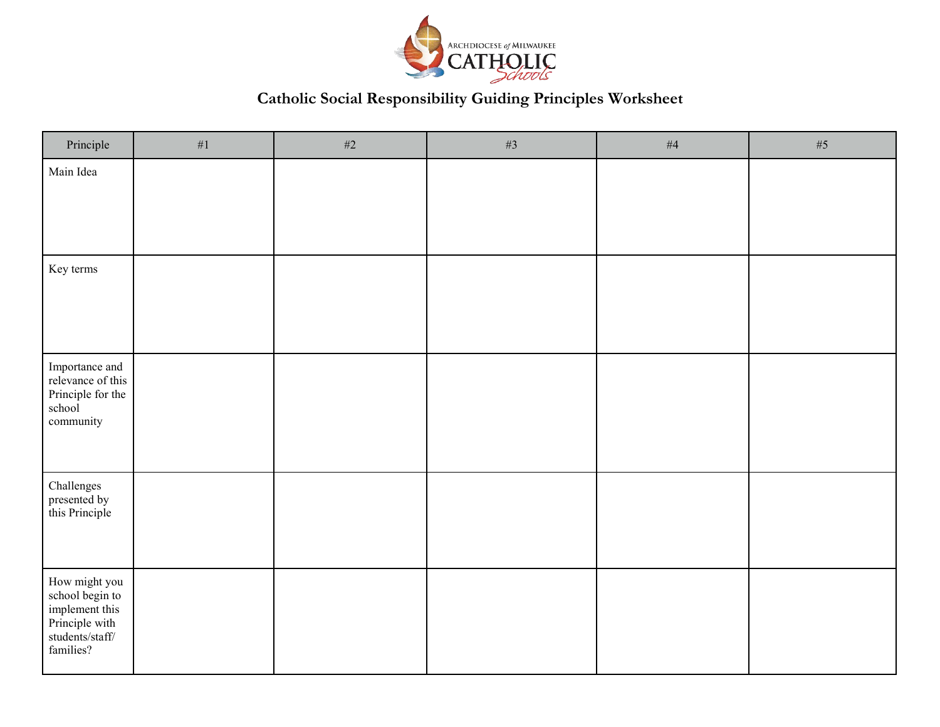

# **Catholic Social Responsibility Guiding Principles Worksheet**

| Principle                                                                                              | $\#1$ | #2 | $\#3$ | $\#4$ | $\#5$ |
|--------------------------------------------------------------------------------------------------------|-------|----|-------|-------|-------|
| Main Idea                                                                                              |       |    |       |       |       |
| Key terms                                                                                              |       |    |       |       |       |
| Importance and<br>relevance of this<br>Principle for the<br>school<br>community                        |       |    |       |       |       |
| Challenges<br>presented by<br>this Principle                                                           |       |    |       |       |       |
| How might you<br>school begin to<br>implement this<br>Principle with<br>$students/staff/$<br>families? |       |    |       |       |       |